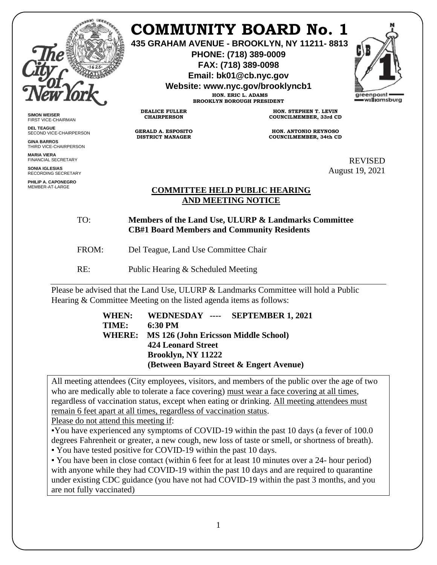

# **COMMUNITY BOARD No. 1**

**435 GRAHAM AVENUE - BROOKLYN, NY 11211- 8813**

**PHONE: (718) 389-0009 FAX: (718) 389-0098**

**Email: bk01@cb.nyc.gov**

**Website: www.nyc.gov/brooklyncb1**

**HON. ERIC L. ADAMS BROOKLYN BOROUGH PRESIDENT**



**SIMON WEISER** FIRST VICE-CHAIRMAN

**DEL TEAGUE** SECOND VICE-CHAIRPERSON

**GINA BARROS** THIRD VICE-CHAIRPERSON

**MARIA VIERA** FINANCIAL SECRETARY

**SONIA IGLESIAS** RECORDING SECRETARY

**PHILIP A. CAPONEGRO** MEMBER-AT-LARGE

**HON. STEPHEN T. LEVIN COUNCILMEMBER, 33rd CD**

**HON. ANTONIO REYNOSO COUNCILMEMBER, 34th CD**

> REVISED August 19, 2021

## **COMMITTEE HELD PUBLIC HEARING AND MEETING NOTICE**

TO: **Members of the Land Use, ULURP & Landmarks Committee CB#1 Board Members and Community Residents**

FROM: Del Teague, Land Use Committee Chair

RE: Public Hearing & Scheduled Meeting

**DEALICE FULLER CHAIRPERSON**

**GERALD A. ESPOSITO DISTRICT MANAGER**

Please be advised that the Land Use, ULURP & Landmarks Committee will hold a Public Hearing & Committee Meeting on the listed agenda items as follows:

| WHEN:         | WEDNESDAY ---- SEPTEMBER 1, 2021            |
|---------------|---------------------------------------------|
| TIME:         | 6:30 PM                                     |
| <b>WHERE:</b> | <b>MS 126 (John Ericsson Middle School)</b> |
|               | <b>424 Leonard Street</b>                   |
|               | Brooklyn, NY 11222                          |
|               | (Between Bayard Street & Engert Avenue)     |
|               |                                             |

All meeting attendees (City employees, visitors, and members of the public over the age of two who are medically able to tolerate a face covering) must wear a face covering at all times, regardless of vaccination status, except when eating or drinking. All meeting attendees must remain 6 feet apart at all times, regardless of vaccination status.

Please do not attend this meeting if:

▪You have experienced any symptoms of COVID-19 within the past 10 days (a fever of 100.0 degrees Fahrenheit or greater, a new cough, new loss of taste or smell, or shortness of breath).

▪ You have tested positive for COVID-19 within the past 10 days.

▪ You have been in close contact (within 6 feet for at least 10 minutes over a 24- hour period) with anyone while they had COVID-19 within the past 10 days and are required to quarantine under existing CDC guidance (you have not had COVID-19 within the past 3 months, and you are not fully vaccinated)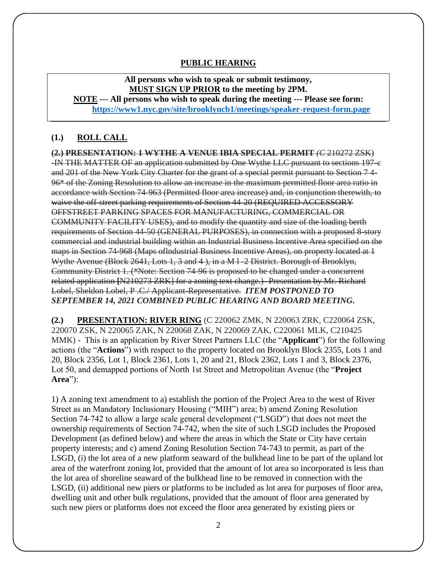## **PUBLIC HEARING**

**All persons who wish to speak or submit testimony, MUST SIGN UP PRIOR to the meeting by 2PM.** 

**NOTE --- All persons who wish to speak during the meeting --- Please see form: <https://www1.nyc.gov/site/brooklyncb1/meetings/speaker-request-form.page>**

#### **(1.) ROLL CALL**

**(2.) PRESENTATION: 1 WYTHE A VENUE IBIA SPECIAL PERMIT** *(C* 210272 ZSK) -IN THE MATTER OF an application submitted by One Wythe LLC pursuant to sections 197-c and 201 of the New York City Charter for the grant of a special permit pursuant to Section 7 4- 96\* of the Zoning Resolution to allow an increase in the maximum permitted floor area ratio in accordance with Section 74-963 (Permitted floor area increase) and, in conjunction therewith, to waive the off-street parking requirements of Section 44-20 (REQUIRED ACCESSORY OFFSTREET PARKING SPACES FOR MANUFACTURING, COMMERCIAL OR COMMUNITY FACILITY USES), and to modify the quantity and size of the loading berth requirements of Section 44-50 (GENERAL PURPOSES), in connection with a proposed 8-story commercial and industrial building within an Industrial Business Incentive Area specified on the maps in Section 74-968 (Maps oflndustrial Business Incentive Areas), on property located at 1 Wythe Avenue (Block 2641, Lots 1, 3 and 4 ), in a M l -2 District. Borough of Brooklyn, Community District 1. (\*Note: Section 74-96 is proposed to be changed under a concurrent related application **[**N210273 ZRK] for a zoning text change.)- Presentation by Mr. Richard Lobel, Sheldon Lobel, P .C./ Applicant-Representative. *ITEM POSTPONED TO SEPTEMBER 14, 2021 COMBINED PUBLIC HEARING AND BOARD MEETING.*

**(2.) PRESENTATION: RIVER RING** (C 220062 ZMK, N 220063 ZRK, C220064 ZSK, 220070 ZSK, N 220065 ZAK, N 220068 ZAK, N 220069 ZAK, C220061 MLK, C210425 MMK) - This is an application by River Street Partners LLC (the "**Applicant**") for the following actions (the "**Actions**") with respect to the property located on Brooklyn Block 2355, Lots 1 and 20, Block 2356, Lot 1, Block 2361, Lots 1, 20 and 21, Block 2362, Lots 1 and 3, Block 2376, Lot 50, and demapped portions of North 1st Street and Metropolitan Avenue (the "**Project Area**"):

1) A zoning text amendment to a) establish the portion of the Project Area to the west of River Street as an Mandatory Inclusionary Housing ("MIH") area; b) amend Zoning Resolution Section 74-742 to allow a large scale general development ("LSGD") that does not meet the ownership requirements of Section 74-742, when the site of such LSGD includes the Proposed Development (as defined below) and where the areas in which the State or City have certain property interests; and c) amend Zoning Resolution Section 74-743 to permit, as part of the LSGD, (i) the lot area of a new platform seaward of the bulkhead line to be part of the upland lot area of the waterfront zoning lot, provided that the amount of lot area so incorporated is less than the lot area of shoreline seaward of the bulkhead line to be removed in connection with the LSGD, (ii) additional new piers or platforms to be included as lot area for purposes of floor area, dwelling unit and other bulk regulations, provided that the amount of floor area generated by such new piers or platforms does not exceed the floor area generated by existing piers or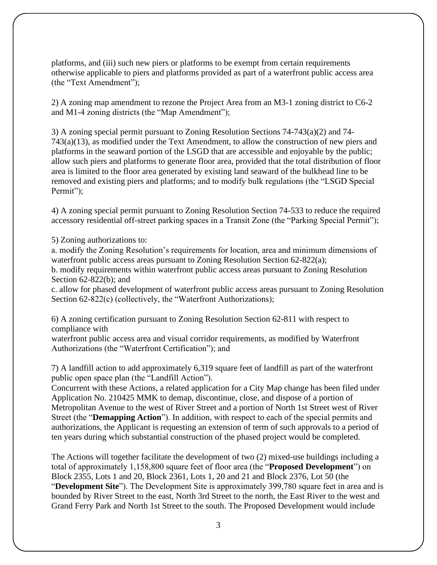platforms, and (iii) such new piers or platforms to be exempt from certain requirements otherwise applicable to piers and platforms provided as part of a waterfront public access area (the "Text Amendment");

2) A zoning map amendment to rezone the Project Area from an M3-1 zoning district to C6-2 and M1-4 zoning districts (the "Map Amendment");

3) A zoning special permit pursuant to Zoning Resolution Sections 74-743(a)(2) and 74- 743(a)(13), as modified under the Text Amendment, to allow the construction of new piers and platforms in the seaward portion of the LSGD that are accessible and enjoyable by the public; allow such piers and platforms to generate floor area, provided that the total distribution of floor area is limited to the floor area generated by existing land seaward of the bulkhead line to be removed and existing piers and platforms; and to modify bulk regulations (the "LSGD Special Permit"):

4) A zoning special permit pursuant to Zoning Resolution Section 74-533 to reduce the required accessory residential off-street parking spaces in a Transit Zone (the "Parking Special Permit");

5) Zoning authorizations to:

a. modify the Zoning Resolution's requirements for location, area and minimum dimensions of waterfront public access areas pursuant to Zoning Resolution Section 62-822(a);

b. modify requirements within waterfront public access areas pursuant to Zoning Resolution Section 62-822(b); and

c. allow for phased development of waterfront public access areas pursuant to Zoning Resolution Section 62-822(c) (collectively, the "Waterfront Authorizations);

6) A zoning certification pursuant to Zoning Resolution Section 62-811 with respect to compliance with

waterfront public access area and visual corridor requirements, as modified by Waterfront Authorizations (the "Waterfront Certification"); and

7) A landfill action to add approximately 6,319 square feet of landfill as part of the waterfront public open space plan (the "Landfill Action").

Concurrent with these Actions, a related application for a City Map change has been filed under Application No. 210425 MMK to demap, discontinue, close, and dispose of a portion of Metropolitan Avenue to the west of River Street and a portion of North 1st Street west of River Street (the "**Demapping Action**"). In addition, with respect to each of the special permits and authorizations, the Applicant is requesting an extension of term of such approvals to a period of ten years during which substantial construction of the phased project would be completed.

The Actions will together facilitate the development of two (2) mixed-use buildings including a total of approximately 1,158,800 square feet of floor area (the "**Proposed Development**") on Block 2355, Lots 1 and 20, Block 2361, Lots 1, 20 and 21 and Block 2376, Lot 50 (the "**Development Site**"). The Development Site is approximately 399,780 square feet in area and is bounded by River Street to the east, North 3rd Street to the north, the East River to the west and Grand Ferry Park and North 1st Street to the south. The Proposed Development would include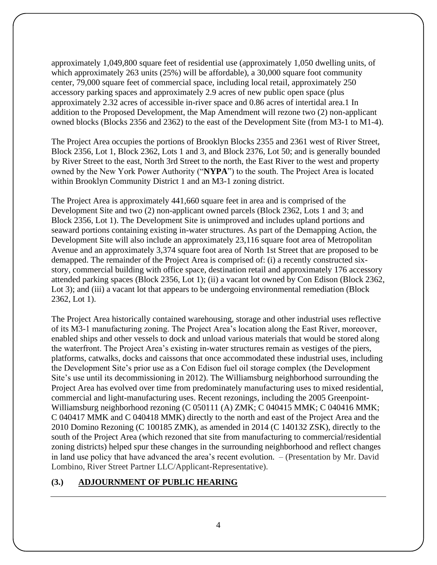approximately 1,049,800 square feet of residential use (approximately 1,050 dwelling units, of which approximately 263 units (25%) will be affordable), a 30,000 square foot community center, 79,000 square feet of commercial space, including local retail, approximately 250 accessory parking spaces and approximately 2.9 acres of new public open space (plus approximately 2.32 acres of accessible in-river space and 0.86 acres of intertidal area.1 In addition to the Proposed Development, the Map Amendment will rezone two (2) non-applicant owned blocks (Blocks 2356 and 2362) to the east of the Development Site (from M3-1 to M1-4).

The Project Area occupies the portions of Brooklyn Blocks 2355 and 2361 west of River Street, Block 2356, Lot 1, Block 2362, Lots 1 and 3, and Block 2376, Lot 50; and is generally bounded by River Street to the east, North 3rd Street to the north, the East River to the west and property owned by the New York Power Authority ("**NYPA**") to the south. The Project Area is located within Brooklyn Community District 1 and an M3-1 zoning district.

The Project Area is approximately 441,660 square feet in area and is comprised of the Development Site and two (2) non-applicant owned parcels (Block 2362, Lots 1 and 3; and Block 2356, Lot 1). The Development Site is unimproved and includes upland portions and seaward portions containing existing in-water structures. As part of the Demapping Action, the Development Site will also include an approximately 23,116 square foot area of Metropolitan Avenue and an approximately 3,374 square foot area of North 1st Street that are proposed to be demapped. The remainder of the Project Area is comprised of: (i) a recently constructed sixstory, commercial building with office space, destination retail and approximately 176 accessory attended parking spaces (Block 2356, Lot 1); (ii) a vacant lot owned by Con Edison (Block 2362, Lot 3); and (iii) a vacant lot that appears to be undergoing environmental remediation (Block 2362, Lot 1).

The Project Area historically contained warehousing, storage and other industrial uses reflective of its M3-1 manufacturing zoning. The Project Area's location along the East River, moreover, enabled ships and other vessels to dock and unload various materials that would be stored along the waterfront. The Project Area's existing in-water structures remain as vestiges of the piers, platforms, catwalks, docks and caissons that once accommodated these industrial uses, including the Development Site's prior use as a Con Edison fuel oil storage complex (the Development Site's use until its decommissioning in 2012). The Williamsburg neighborhood surrounding the Project Area has evolved over time from predominately manufacturing uses to mixed residential, commercial and light-manufacturing uses. Recent rezonings, including the 2005 Greenpoint-Williamsburg neighborhood rezoning (C 050111 (A) ZMK; C 040415 MMK; C 040416 MMK; C 040417 MMK and C 040418 MMK) directly to the north and east of the Project Area and the 2010 Domino Rezoning (C 100185 ZMK), as amended in 2014 (C 140132 ZSK), directly to the south of the Project Area (which rezoned that site from manufacturing to commercial/residential zoning districts) helped spur these changes in the surrounding neighborhood and reflect changes in land use policy that have advanced the area's recent evolution. – (Presentation by Mr. David Lombino, River Street Partner LLC/Applicant-Representative).

## **(3.) ADJOURNMENT OF PUBLIC HEARING**